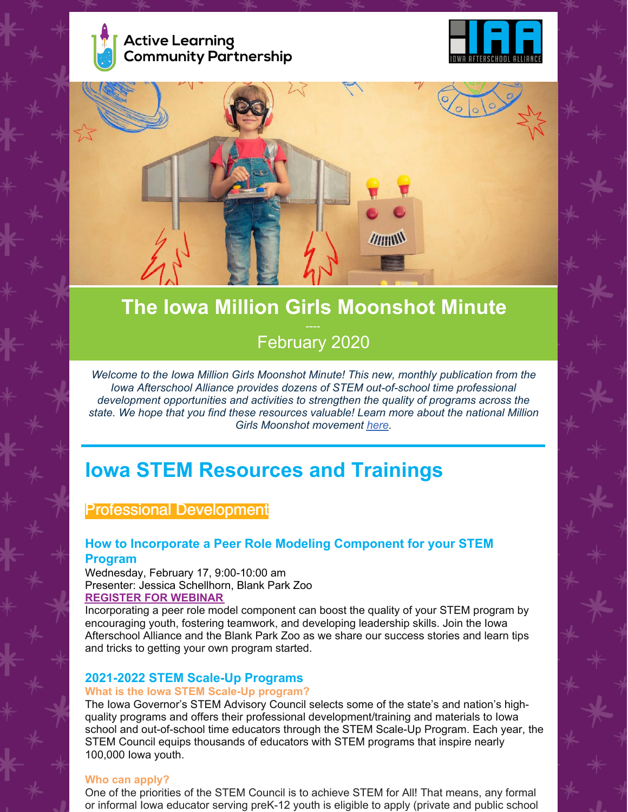





# **The Iowa Million Girls Moonshot Minute** February 2020

*Welcome to the Iowa Million Girls Moonshot Minute! This new, monthly publication from the Iowa Afterschool Alliance provides dozens of STEM out-of-school time professional development opportunities and activities to strengthen the quality of programs across the state. We hope that you find these resources valuable! Learn more about the national Million Girls Moonshot movement [here](https://milliongirlsmoonshot.org/).*

# **Iowa STEM Resources and Trainings**

## Professional Development

### **How to Incorporate a Peer Role Modeling Component for your STEM Program**

Wednesday, February 17, 9:00-10:00 am Presenter: Jessica Schellhorn, Blank Park Zoo **[REGISTER](https://zoom.us/meeting/register/tJMtd-yoqjkrEtE_b-gv7iWQ7_bzxhO4qmbD) FOR WEBINAR**

Incorporating a peer role model component can boost the quality of your STEM program by encouraging youth, fostering teamwork, and developing leadership skills. Join the Iowa Afterschool Alliance and the Blank Park Zoo as we share our success stories and learn tips and tricks to getting your own program started.

### **2021-2022 STEM Scale-Up Programs**

#### **What is the Iowa STEM Scale-Up program?**

The Iowa Governor's STEM Advisory Council selects some of the state's and nation's highquality programs and offers their professional development/training and materials to Iowa school and out-of-school time educators through the STEM Scale-Up Program. Each year, the STEM Council equips thousands of educators with STEM programs that inspire nearly 100,000 Iowa youth.

#### **Who can apply?**

One of the priorities of the STEM Council is to achieve STEM for All! That means, any formal or informal Iowa educator serving preK-12 youth is eligible to apply (private and public school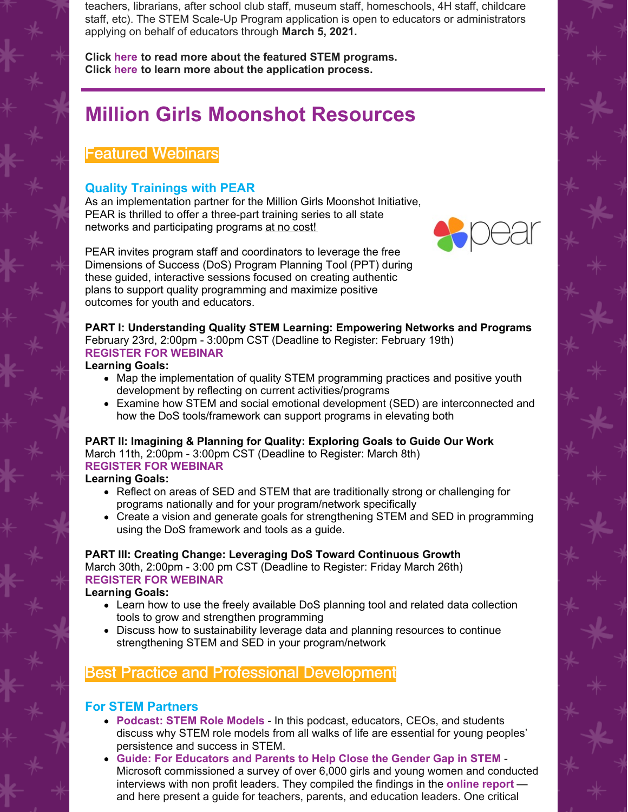teachers, librarians, after school club staff, museum staff, homeschools, 4H staff, childcare staff, etc). The STEM Scale-Up Program application is open to educators or administrators applying on behalf of educators through **March 5, 2021.**

**Click [here](https://iowastem.org/sites/default/files/2021-22 Scale-Up Packet_12.pdf) to read more about the featured STEM programs. Click [here](https://iowastem.org/Scale-Up) to learn more about the application process.**

# **Million Girls Moonshot Resources**

# Featured Webinars

## **Quality Trainings with PEAR**

As an implementation partner for the Million Girls Moonshot Initiative, PEAR is thrilled to offer a three-part training series to all state networks and participating programs at no cost!



PEAR invites program staff and coordinators to leverage the free Dimensions of Success (DoS) Program Planning Tool (PPT) during these guided, interactive sessions focused on creating authentic plans to support quality programming and maximize positive outcomes for youth and educators.

#### **PART I: Understanding Quality STEM Learning: Empowering Networks and Programs** February 23rd, 2:00pm - 3:00pm CST (Deadline to Register: February 19th)

#### **[REGISTER](https://share.hsforms.com/1f2wO4n9YQTKkf-wxsI82yg4hx3z) FOR WEBINAR**

#### **Learning Goals:**

- Map the implementation of quality STEM programming practices and positive youth development by reflecting on current activities/programs
- Examine how STEM and social emotional development (SED) are interconnected and how the DoS tools/framework can support programs in elevating both

## **PART II: Imagining & Planning for Quality: Exploring Goals to Guide Our Work** March 11th, 2:00pm - 3:00pm CST (Deadline to Register: March 8th)

# **[REGISTER](https://share.hsforms.com/1f2wO4n9YQTKkf-wxsI82yg4hx3z) FOR WEBINAR**

- **Learning Goals:**
	- Reflect on areas of SED and STEM that are traditionally strong or challenging for programs nationally and for your program/network specifically
	- Create a vision and generate goals for strengthening STEM and SED in programming using the DoS framework and tools as a guide.

### **PART III: Creating Change: Leveraging DoS Toward Continuous Growth**

March 30th, 2:00pm - 3:00 pm CST (Deadline to Register: Friday March 26th) **[REGISTER](https://share.hsforms.com/1f2wO4n9YQTKkf-wxsI82yg4hx3z) FOR WEBINAR**

**Learning Goals:**

- Learn how to use the freely available DoS planning tool and related data collection tools to grow and strengthen programming
- Discuss how to sustainability leverage data and planning resources to continue strengthening STEM and SED in your program/network

# Best Practice and Professional Development

## **For STEM Partners**

- **[Podcast:](https://medium.com/nevertheless-podcast/episode-1-stem-role-models-7c30d2c68392) STEM Role Models** In this podcast, educators, CEOs, and students discuss why STEM role models from all walks of life are essential for young peoples' persistence and success in STEM.
- **Guide: For [Educators](https://www.microsoft.com/en-us/corporate-responsibility/skills-employability/girls-stem-computer-science) and Parents to Help Close the Gender Gap in STEM** Microsoft commissioned a survey of over 6,000 girls and young women and conducted interviews with non profit leaders. They compiled the findings in the **[online](https://query.prod.cms.rt.microsoft.com/cms/api/am/binary/RE1UMWz) report** and here present a guide for teachers, parents, and education leaders. One critical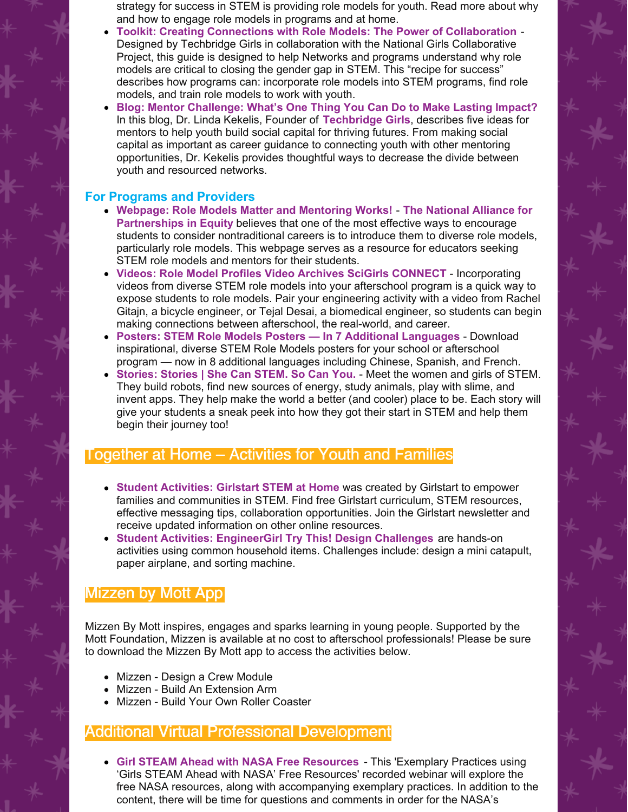strategy for success in STEM is providing role models for youth. Read more about why and how to engage role models in programs and at home.

- **Toolkit: Creating Connections with Role Models: The Power of [Collaboration](https://techbridgegirls.org/assets/files/role-model/NGCP Role Model Guide Web Version.pdf)** Designed by Techbridge Girls in collaboration with the National Girls Collaborative Project, this guide is designed to help Networks and programs understand why role models are critical to closing the gender gap in STEM. This "recipe for success" describes how programs can: incorporate role models into STEM programs, find role models, and train role models to work with youth.
- **Blog: Mentor [Challenge:](https://medium.com/stem-next-opportunity-fund/mentor-challenge-a09c3c9f7ec1) What's One Thing You Can Do to Make Lasting Impact?** In this blog, Dr. Linda Kekelis, Founder of **[Techbridge](https://www.techbridgegirls.org/) Girls**, describes five ideas for mentors to help youth build social capital for thriving futures. From making social capital as important as career guidance to connecting youth with other mentoring opportunities, Dr. Kekelis provides thoughtful ways to decrease the divide between youth and resourced networks.

## **For Programs and Providers**

- **Webpage: Role Models Matter and [Mentoring](https://napequity.org/resources/role-models/) Works! The National Alliance for [Partnerships](https://napequity.org/) in Equity** believes that one of the most effective ways to encourage students to consider nontraditional careers is to introduce them to diverse role models, particularly role models. This webpage serves as a resource for educators seeking STEM role models and mentors for their students.
- **Videos: Role Model Profiles Video Archives SciGirls [CONNECT](http://www.scigirlsconnect.org/resource_topic/role-model-profiles/)** Incorporating videos from diverse STEM role models into your afterschool program is a quick way to expose students to role models. Pair your engineering activity with a video from Rachel Gitajn, a bicycle engineer, or Tejal Desai, a biomedical engineer, so students can begin making connections between afterschool, the real-world, and career.
- **Posters: STEM Role Models Posters — In 7 Additional [Languages](https://medium.com/nevertheless-podcast/stem-role-models-posters-2404424b37dd)** Download inspirational, diverse STEM Role Models posters for your school or afterschool program — now in 8 additional languages including Chinese, Spanish, and French.
- **[Stories:](https://shecanstem.com/stories) Stories | She Can STEM. So Can You.** Meet the women and girls of STEM. They build robots, find new sources of energy, study animals, play with slime, and invent apps. They help make the world a better (and cooler) place to be. Each story will give your students a sneak peek into how they got their start in STEM and help them begin their journey too!

# Together at Home – Activities for Youth and Families

- **Student [Activities:](https://girlstart.org/stem-at-home/) Girlstart STEM at Hom[e](https://girlstart.org/stem-at-home/)** was created by Girlstart to empower families and communities in STEM. Find free Girlstart curriculum, STEM resources, effective messaging tips, collaboration opportunities. Join the Girlstart newsletter and receive updated information on other online resources.
- **Student Activities: [EngineerGirl](https://www.engineergirl.org/128249/Try-This) Try This! Design Challenges** are hands-on activities using common household items. Challenges include: design a mini catapult, paper airplane, and sorting machine.

# Mizzen by Mott App

Mizzen By Mott inspires, engages and sparks learning in young people. Supported by the Mott Foundation, Mizzen is available at no cost to afterschool professionals! Please be sure to download the Mizzen By Mott app to access the activities below.

- Mizzen Design a Crew Module
- Mizzen Build An Extension Arm
- Mizzen Build Your Own Roller Coaster

# Additional Virtual Professional Development

**Girl STEAM Ahead with NASA Free [Resources](https://ngcproject.org/girls-steam-ahead-with-nasa-free-resources-0)** - This 'Exemplary Practices using 'Girls STEAM Ahead with NASA' Free Resources' recorded webinar will explore the free NASA resources, along with accompanying exemplary practices. In addition to the content, there will be time for questions and comments in order for the NASA's